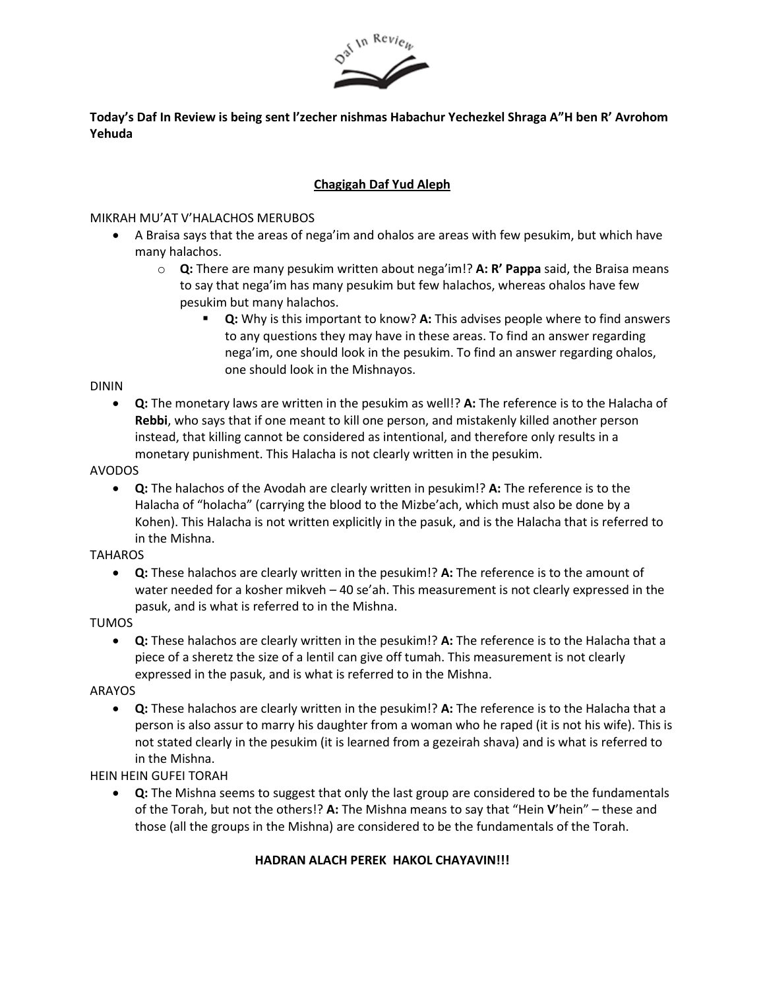

# **Today's Daf In Review is being sent l'zecher nishmas Habachur Yechezkel Shraga A"H ben R' Avrohom Yehuda**

# **Chagigah Daf Yud Aleph**

### MIKRAH MU'AT V'HALACHOS MERUBOS

- A Braisa says that the areas of nega'im and ohalos are areas with few pesukim, but which have many halachos.
	- o **Q:** There are many pesukim written about nega'im!? **A: R' Pappa** said, the Braisa means to say that nega'im has many pesukim but few halachos, whereas ohalos have few pesukim but many halachos.
		- **Q:** Why is this important to know? **A:** This advises people where to find answers to any questions they may have in these areas. To find an answer regarding nega'im, one should look in the pesukim. To find an answer regarding ohalos, one should look in the Mishnayos.

#### DININ

• **Q:** The monetary laws are written in the pesukim as well!? **A:** The reference is to the Halacha of **Rebbi**, who says that if one meant to kill one person, and mistakenly killed another person instead, that killing cannot be considered as intentional, and therefore only results in a monetary punishment. This Halacha is not clearly written in the pesukim.

### AVODOS

• **Q:** The halachos of the Avodah are clearly written in pesukim!? **A:** The reference is to the Halacha of "holacha" (carrying the blood to the Mizbe'ach, which must also be done by a Kohen). This Halacha is not written explicitly in the pasuk, and is the Halacha that is referred to in the Mishna.

#### **TAHAROS**

• **Q:** These halachos are clearly written in the pesukim!? **A:** The reference is to the amount of water needed for a kosher mikveh – 40 se'ah. This measurement is not clearly expressed in the pasuk, and is what is referred to in the Mishna.

# TUMOS

• **Q:** These halachos are clearly written in the pesukim!? **A:** The reference is to the Halacha that a piece of a sheretz the size of a lentil can give off tumah. This measurement is not clearly expressed in the pasuk, and is what is referred to in the Mishna.

# ARAYOS

• **Q:** These halachos are clearly written in the pesukim!? **A:** The reference is to the Halacha that a person is also assur to marry his daughter from a woman who he raped (it is not his wife). This is not stated clearly in the pesukim (it is learned from a gezeirah shava) and is what is referred to in the Mishna.

# HEIN HEIN GUFEI TORAH

• **Q:** The Mishna seems to suggest that only the last group are considered to be the fundamentals of the Torah, but not the others!? **A:** The Mishna means to say that "Hein **V**'hein" – these and those (all the groups in the Mishna) are considered to be the fundamentals of the Torah.

# **HADRAN ALACH PEREK HAKOL CHAYAVIN!!!**